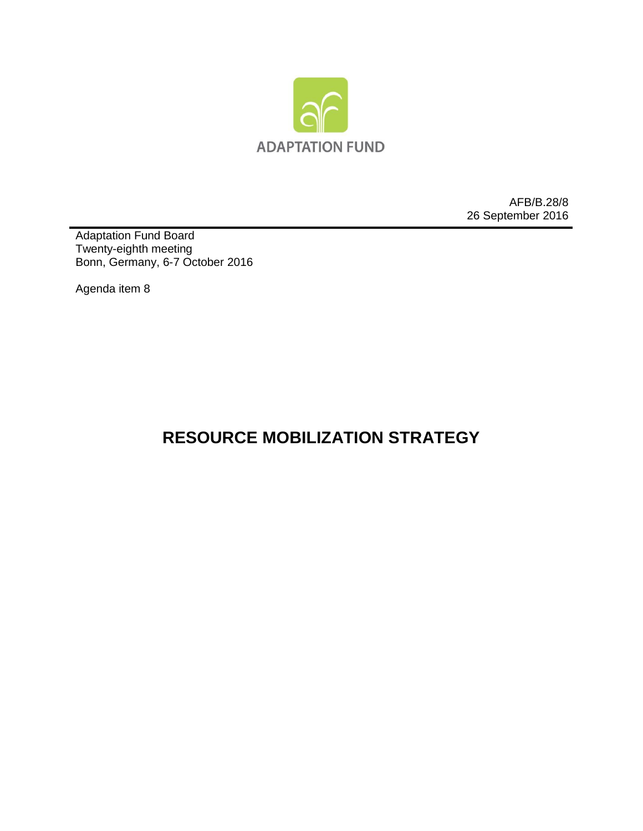

AFB/B.28/8 26 September 2016

Adaptation Fund Board Twenty-eighth meeting Bonn, Germany, 6-7 October 2016

Agenda item 8

## **RESOURCE MOBILIZATION STRATEGY**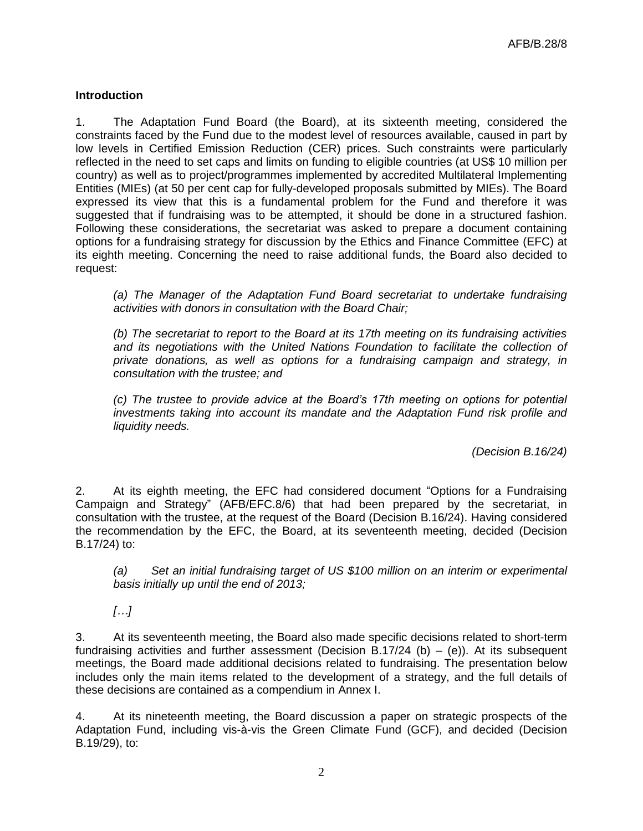## **Introduction**

1. The Adaptation Fund Board (the Board), at its sixteenth meeting, considered the constraints faced by the Fund due to the modest level of resources available, caused in part by low levels in Certified Emission Reduction (CER) prices. Such constraints were particularly reflected in the need to set caps and limits on funding to eligible countries (at US\$ 10 million per country) as well as to project/programmes implemented by accredited Multilateral Implementing Entities (MIEs) (at 50 per cent cap for fully-developed proposals submitted by MIEs). The Board expressed its view that this is a fundamental problem for the Fund and therefore it was suggested that if fundraising was to be attempted, it should be done in a structured fashion. Following these considerations, the secretariat was asked to prepare a document containing options for a fundraising strategy for discussion by the Ethics and Finance Committee (EFC) at its eighth meeting. Concerning the need to raise additional funds, the Board also decided to request:

*(a) The Manager of the Adaptation Fund Board secretariat to undertake fundraising activities with donors in consultation with the Board Chair;*

*(b) The secretariat to report to the Board at its 17th meeting on its fundraising activities and its negotiations with the United Nations Foundation to facilitate the collection of private donations, as well as options for a fundraising campaign and strategy, in consultation with the trustee; and*

*(c) The trustee to provide advice at the Board's 17th meeting on options for potential investments taking into account its mandate and the Adaptation Fund risk profile and liquidity needs.*

*(Decision B.16/24)*

2. At its eighth meeting, the EFC had considered document "Options for a Fundraising Campaign and Strategy" (AFB/EFC.8/6) that had been prepared by the secretariat, in consultation with the trustee, at the request of the Board (Decision B.16/24). Having considered the recommendation by the EFC, the Board, at its seventeenth meeting, decided (Decision B.17/24) to:

*(a) Set an initial fundraising target of US \$100 million on an interim or experimental basis initially up until the end of 2013;*

*[…]*

3. At its seventeenth meeting, the Board also made specific decisions related to short-term fundraising activities and further assessment (Decision B.17/24 (b)  $-$  (e)). At its subsequent meetings, the Board made additional decisions related to fundraising. The presentation below includes only the main items related to the development of a strategy, and the full details of these decisions are contained as a compendium in Annex I.

4. At its nineteenth meeting, the Board discussion a paper on strategic prospects of the Adaptation Fund, including vis-à-vis the Green Climate Fund (GCF), and decided (Decision B.19/29), to: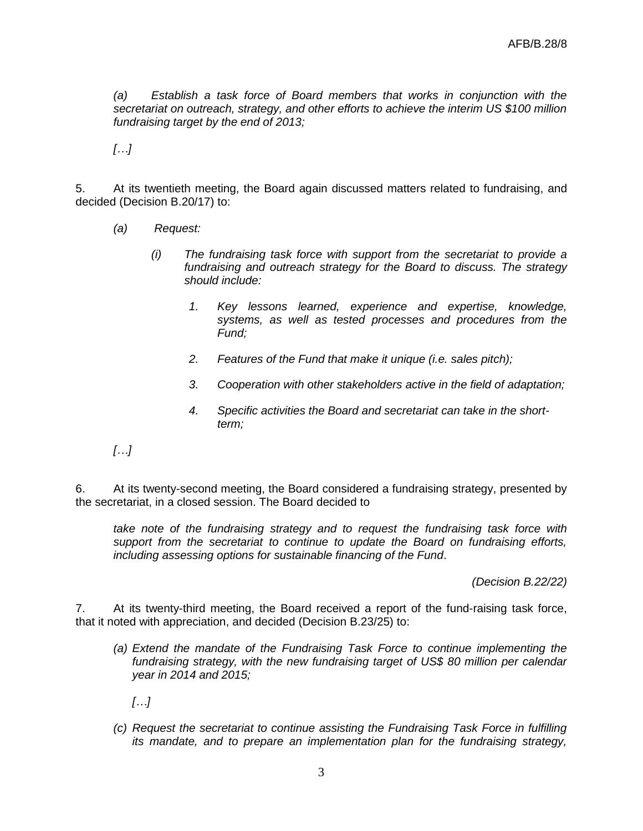*(a) Establish a task force of Board members that works in conjunction with the secretariat on outreach, strategy, and other efforts to achieve the interim US \$100 million fundraising target by the end of 2013;*

*[…]*

5. At its twentieth meeting, the Board again discussed matters related to fundraising, and decided (Decision B.20/17) to:

- *(a) Request:*
	- *(i) The fundraising task force with support from the secretariat to provide a fundraising and outreach strategy for the Board to discuss. The strategy should include:*
		- *1. Key lessons learned, experience and expertise, knowledge, systems, as well as tested processes and procedures from the Fund;*
		- *2. Features of the Fund that make it unique (i.e. sales pitch);*
		- *3. Cooperation with other stakeholders active in the field of adaptation;*
		- *4. Specific activities the Board and secretariat can take in the shortterm;*
- *[…]*

6. At its twenty-second meeting, the Board considered a fundraising strategy, presented by the secretariat, in a closed session. The Board decided to

*take note of the fundraising strategy and to request the fundraising task force with support from the secretariat to continue to update the Board on fundraising efforts, including assessing options for sustainable financing of the Fund*.

*(Decision B.22/22)*

7. At its twenty-third meeting, the Board received a report of the fund-raising task force, that it noted with appreciation, and decided (Decision B.23/25) to:

*(a) Extend the mandate of the Fundraising Task Force to continue implementing the fundraising strategy, with the new fundraising target of US\$ 80 million per calendar year in 2014 and 2015;*

*[…]*

*(c) Request the secretariat to continue assisting the Fundraising Task Force in fulfilling its mandate, and to prepare an implementation plan for the fundraising strategy,*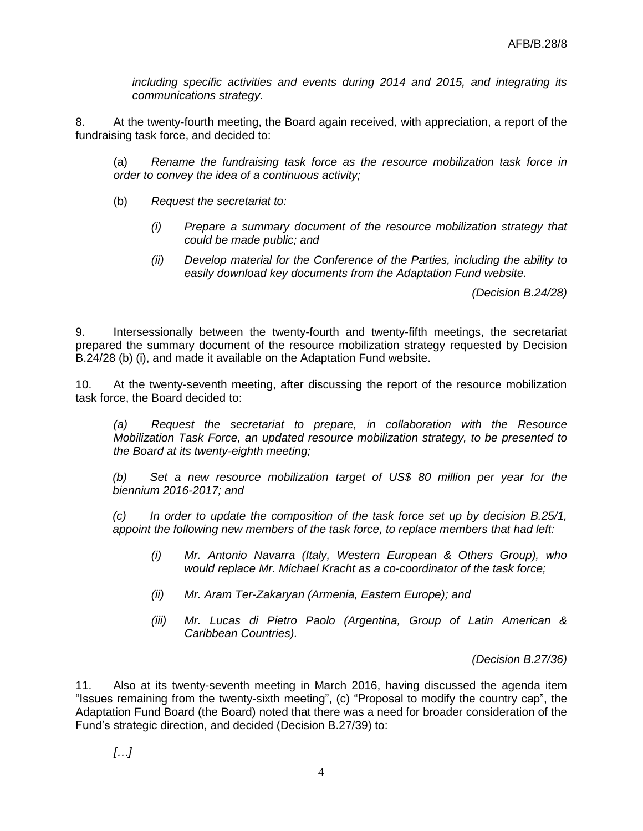*including specific activities and events during 2014 and 2015, and integrating its communications strategy.*

8. At the twenty-fourth meeting, the Board again received, with appreciation, a report of the fundraising task force, and decided to:

(a) *Rename the fundraising task force as the resource mobilization task force in order to convey the idea of a continuous activity;*

- (b) *Request the secretariat to:*
	- *(i) Prepare a summary document of the resource mobilization strategy that could be made public; and*
	- *(ii) Develop material for the Conference of the Parties, including the ability to easily download key documents from the Adaptation Fund website.*

*(Decision B.24/28)*

9. Intersessionally between the twenty-fourth and twenty-fifth meetings, the secretariat prepared the summary document of the resource mobilization strategy requested by Decision B.24/28 (b) (i), and made it available on the Adaptation Fund website.

10. At the twenty-seventh meeting, after discussing the report of the resource mobilization task force, the Board decided to:

*(a) Request the secretariat to prepare, in collaboration with the Resource Mobilization Task Force, an updated resource mobilization strategy, to be presented to the Board at its twenty-eighth meeting;*

*(b) Set a new resource mobilization target of US\$ 80 million per year for the biennium 2016-2017; and*

*(c) In order to update the composition of the task force set up by decision B.25/1, appoint the following new members of the task force, to replace members that had left:*

- *(i) Mr. Antonio Navarra (Italy, Western European & Others Group), who would replace Mr. Michael Kracht as a co-coordinator of the task force;*
- *(ii) Mr. Aram Ter-Zakaryan (Armenia, Eastern Europe); and*
- *(iii) Mr. Lucas di Pietro Paolo (Argentina, Group of Latin American & Caribbean Countries).*

*(Decision B.27/36)*

11. Also at its twenty-seventh meeting in March 2016, having discussed the agenda item "Issues remaining from the twenty-sixth meeting", (c) "Proposal to modify the country cap", the Adaptation Fund Board (the Board) noted that there was a need for broader consideration of the Fund's strategic direction, and decided (Decision B.27/39) to: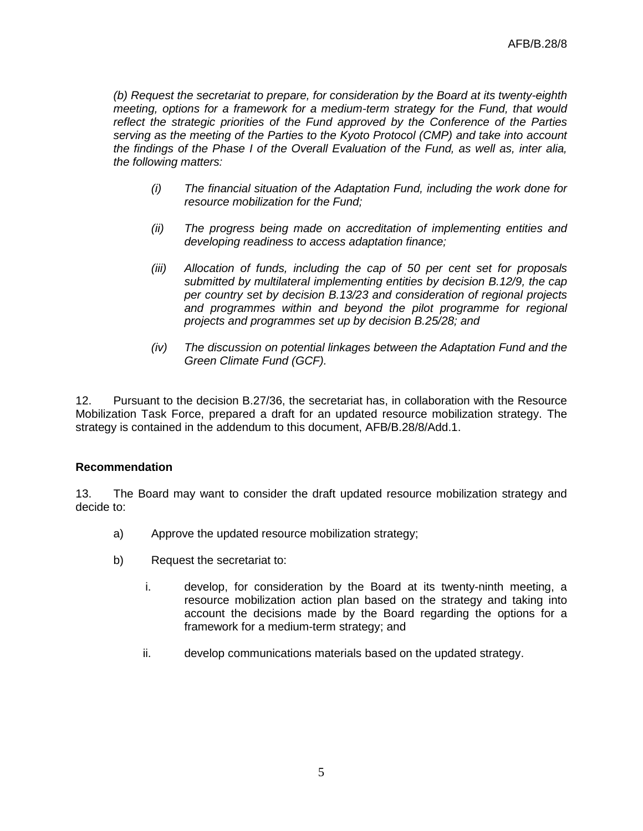*(b) Request the secretariat to prepare, for consideration by the Board at its twenty-eighth meeting, options for a framework for a medium-term strategy for the Fund, that would reflect the strategic priorities of the Fund approved by the Conference of the Parties serving as the meeting of the Parties to the Kyoto Protocol (CMP) and take into account the findings of the Phase I of the Overall Evaluation of the Fund, as well as, inter alia, the following matters:*

- *(i) The financial situation of the Adaptation Fund, including the work done for resource mobilization for the Fund;*
- *(ii) The progress being made on accreditation of implementing entities and developing readiness to access adaptation finance;*
- *(iii) Allocation of funds, including the cap of 50 per cent set for proposals submitted by multilateral implementing entities by decision B.12/9, the cap per country set by decision B.13/23 and consideration of regional projects and programmes within and beyond the pilot programme for regional projects and programmes set up by decision B.25/28; and*
- *(iv) The discussion on potential linkages between the Adaptation Fund and the Green Climate Fund (GCF).*

12. Pursuant to the decision B.27/36, the secretariat has, in collaboration with the Resource Mobilization Task Force, prepared a draft for an updated resource mobilization strategy. The strategy is contained in the addendum to this document, AFB/B.28/8/Add.1.

## **Recommendation**

13. The Board may want to consider the draft updated resource mobilization strategy and decide to:

- a) Approve the updated resource mobilization strategy;
- b) Request the secretariat to:
	- i. develop, for consideration by the Board at its twenty-ninth meeting, a resource mobilization action plan based on the strategy and taking into account the decisions made by the Board regarding the options for a framework for a medium-term strategy; and
	- ii. develop communications materials based on the updated strategy.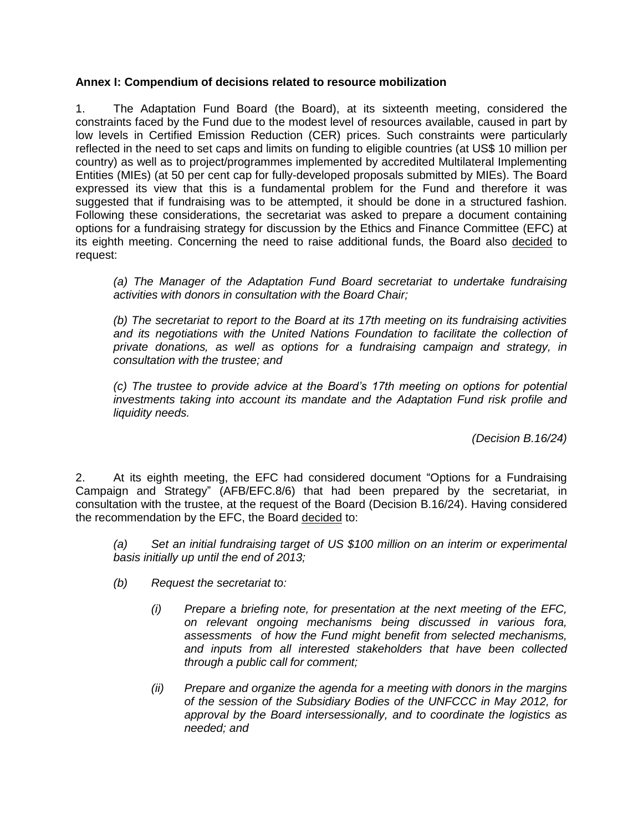## **Annex I: Compendium of decisions related to resource mobilization**

1. The Adaptation Fund Board (the Board), at its sixteenth meeting, considered the constraints faced by the Fund due to the modest level of resources available, caused in part by low levels in Certified Emission Reduction (CER) prices. Such constraints were particularly reflected in the need to set caps and limits on funding to eligible countries (at US\$ 10 million per country) as well as to project/programmes implemented by accredited Multilateral Implementing Entities (MIEs) (at 50 per cent cap for fully-developed proposals submitted by MIEs). The Board expressed its view that this is a fundamental problem for the Fund and therefore it was suggested that if fundraising was to be attempted, it should be done in a structured fashion. Following these considerations, the secretariat was asked to prepare a document containing options for a fundraising strategy for discussion by the Ethics and Finance Committee (EFC) at its eighth meeting. Concerning the need to raise additional funds, the Board also decided to request:

*(a) The Manager of the Adaptation Fund Board secretariat to undertake fundraising activities with donors in consultation with the Board Chair;*

*(b) The secretariat to report to the Board at its 17th meeting on its fundraising activities and its negotiations with the United Nations Foundation to facilitate the collection of private donations, as well as options for a fundraising campaign and strategy, in consultation with the trustee; and*

*(c) The trustee to provide advice at the Board's 17th meeting on options for potential investments taking into account its mandate and the Adaptation Fund risk profile and liquidity needs.*

*(Decision B.16/24)*

2. At its eighth meeting, the EFC had considered document "Options for a Fundraising Campaign and Strategy" (AFB/EFC.8/6) that had been prepared by the secretariat, in consultation with the trustee, at the request of the Board (Decision B.16/24). Having considered the recommendation by the EFC, the Board decided to:

*(a) Set an initial fundraising target of US \$100 million on an interim or experimental basis initially up until the end of 2013;*

- *(b) Request the secretariat to:*
	- *(i) Prepare a briefing note, for presentation at the next meeting of the EFC, on relevant ongoing mechanisms being discussed in various fora, assessments of how the Fund might benefit from selected mechanisms, and inputs from all interested stakeholders that have been collected through a public call for comment;*
	- *(ii) Prepare and organize the agenda for a meeting with donors in the margins of the session of the Subsidiary Bodies of the UNFCCC in May 2012, for approval by the Board intersessionally, and to coordinate the logistics as needed; and*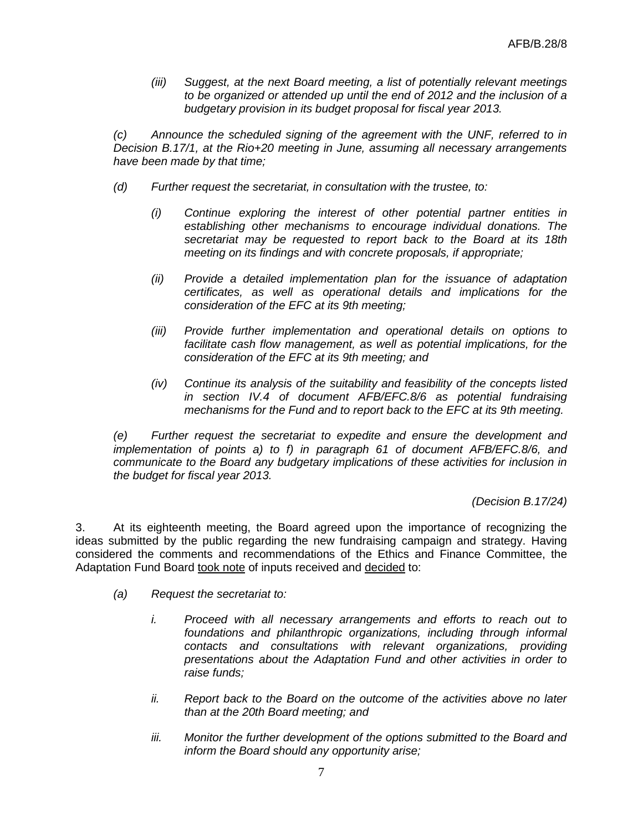*(iii) Suggest, at the next Board meeting, a list of potentially relevant meetings to be organized or attended up until the end of 2012 and the inclusion of a budgetary provision in its budget proposal for fiscal year 2013.*

*(c) Announce the scheduled signing of the agreement with the UNF, referred to in Decision B.17/1, at the Rio+20 meeting in June, assuming all necessary arrangements have been made by that time;*

- *(d) Further request the secretariat, in consultation with the trustee, to:*
	- *(i) Continue exploring the interest of other potential partner entities in establishing other mechanisms to encourage individual donations. The secretariat may be requested to report back to the Board at its 18th meeting on its findings and with concrete proposals, if appropriate;*
	- *(ii) Provide a detailed implementation plan for the issuance of adaptation certificates, as well as operational details and implications for the consideration of the EFC at its 9th meeting;*
	- *(iii) Provide further implementation and operational details on options to facilitate cash flow management, as well as potential implications, for the consideration of the EFC at its 9th meeting; and*
	- *(iv) Continue its analysis of the suitability and feasibility of the concepts listed in section IV.4 of document AFB/EFC.8/6 as potential fundraising mechanisms for the Fund and to report back to the EFC at its 9th meeting.*

*(e) Further request the secretariat to expedite and ensure the development and implementation of points a) to f) in paragraph 61 of document AFB/EFC.8/6, and communicate to the Board any budgetary implications of these activities for inclusion in the budget for fiscal year 2013.*

*(Decision B.17/24)*

3. At its eighteenth meeting, the Board agreed upon the importance of recognizing the ideas submitted by the public regarding the new fundraising campaign and strategy. Having considered the comments and recommendations of the Ethics and Finance Committee, the Adaptation Fund Board took note of inputs received and decided to:

- *(a) Request the secretariat to:*
	- *i. Proceed with all necessary arrangements and efforts to reach out to foundations and philanthropic organizations, including through informal contacts and consultations with relevant organizations, providing presentations about the Adaptation Fund and other activities in order to raise funds;*
	- *ii. Report back to the Board on the outcome of the activities above no later than at the 20th Board meeting; and*
	- *iii. Monitor the further development of the options submitted to the Board and inform the Board should any opportunity arise;*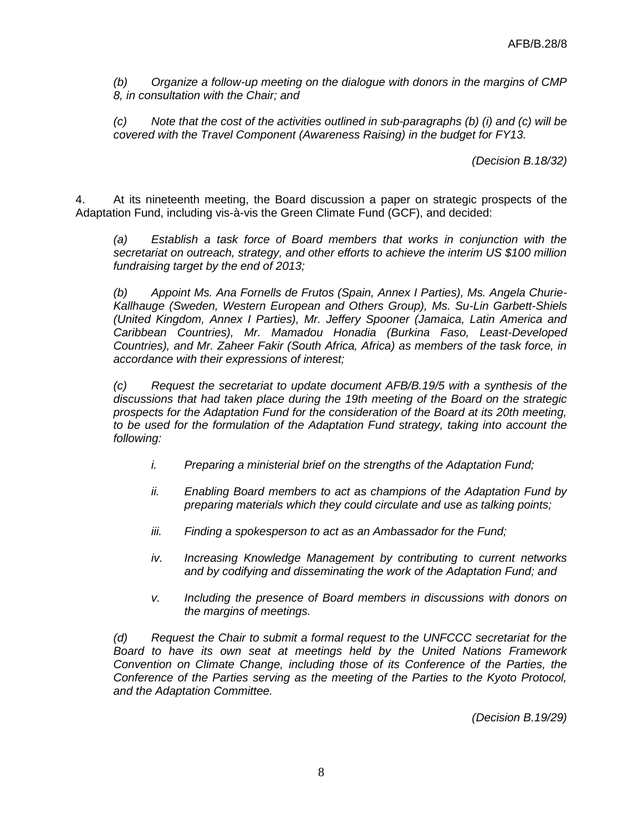*(b) Organize a follow-up meeting on the dialogue with donors in the margins of CMP 8, in consultation with the Chair; and*

*(c) Note that the cost of the activities outlined in sub-paragraphs (b) (i) and (c) will be covered with the Travel Component (Awareness Raising) in the budget for FY13.*

*(Decision B.18/32)*

4. At its nineteenth meeting, the Board discussion a paper on strategic prospects of the Adaptation Fund, including vis-à-vis the Green Climate Fund (GCF), and decided:

*(a) Establish a task force of Board members that works in conjunction with the secretariat on outreach, strategy, and other efforts to achieve the interim US \$100 million fundraising target by the end of 2013;*

*(b) Appoint Ms. Ana Fornells de Frutos (Spain, Annex I Parties), Ms. Angela Churie-Kallhauge (Sweden, Western European and Others Group), Ms. Su-Lin Garbett-Shiels (United Kingdom, Annex I Parties), Mr. Jeffery Spooner (Jamaica, Latin America and Caribbean Countries), Mr. Mamadou Honadia (Burkina Faso, Least-Developed Countries), and Mr. Zaheer Fakir (South Africa, Africa) as members of the task force, in accordance with their expressions of interest;*

*(c) Request the secretariat to update document AFB/B.19/5 with a synthesis of the discussions that had taken place during the 19th meeting of the Board on the strategic prospects for the Adaptation Fund for the consideration of the Board at its 20th meeting, to be used for the formulation of the Adaptation Fund strategy, taking into account the following:*

- *i. Preparing a ministerial brief on the strengths of the Adaptation Fund;*
- *ii. Enabling Board members to act as champions of the Adaptation Fund by preparing materials which they could circulate and use as talking points;*
- *iii. Finding a spokesperson to act as an Ambassador for the Fund;*
- *iv. Increasing Knowledge Management by contributing to current networks and by codifying and disseminating the work of the Adaptation Fund; and*
- *v. Including the presence of Board members in discussions with donors on the margins of meetings.*

*(d) Request the Chair to submit a formal request to the UNFCCC secretariat for the Board to have its own seat at meetings held by the United Nations Framework Convention on Climate Change, including those of its Conference of the Parties, the Conference of the Parties serving as the meeting of the Parties to the Kyoto Protocol, and the Adaptation Committee.*

*(Decision B.19/29)*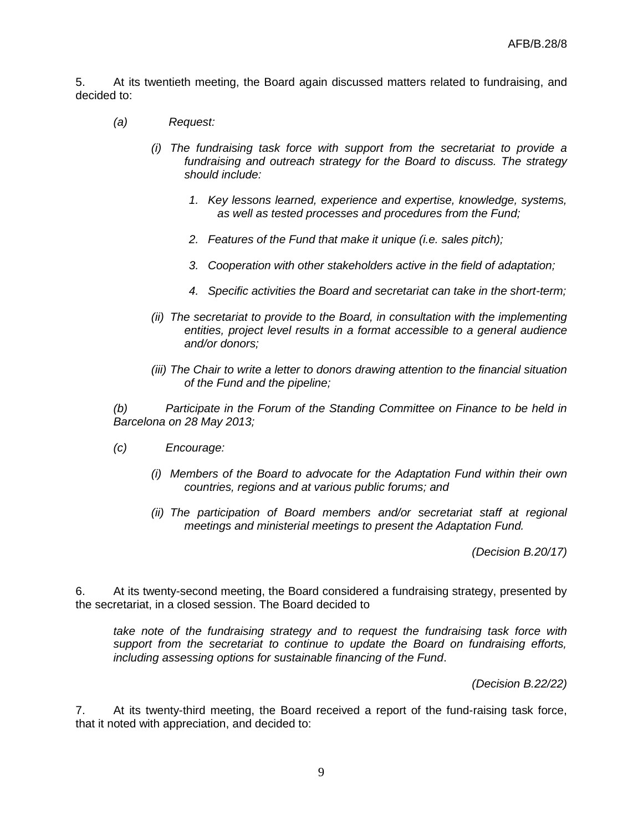5. At its twentieth meeting, the Board again discussed matters related to fundraising, and decided to:

- *(a) Request:*
	- *(i) The fundraising task force with support from the secretariat to provide a fundraising and outreach strategy for the Board to discuss. The strategy should include:*
		- *1. Key lessons learned, experience and expertise, knowledge, systems, as well as tested processes and procedures from the Fund;*
		- *2. Features of the Fund that make it unique (i.e. sales pitch);*
		- *3. Cooperation with other stakeholders active in the field of adaptation;*
		- *4. Specific activities the Board and secretariat can take in the short-term;*
	- *(ii) The secretariat to provide to the Board, in consultation with the implementing entities, project level results in a format accessible to a general audience and/or donors;*
	- *(iii) The Chair to write a letter to donors drawing attention to the financial situation of the Fund and the pipeline;*

*(b) Participate in the Forum of the Standing Committee on Finance to be held in Barcelona on 28 May 2013;*

- *(c) Encourage:*
	- *(i) Members of the Board to advocate for the Adaptation Fund within their own countries, regions and at various public forums; and*
	- *(ii) The participation of Board members and/or secretariat staff at regional meetings and ministerial meetings to present the Adaptation Fund.*

*(Decision B.20/17)*

6. At its twenty-second meeting, the Board considered a fundraising strategy, presented by the secretariat, in a closed session. The Board decided to

*take note of the fundraising strategy and to request the fundraising task force with support from the secretariat to continue to update the Board on fundraising efforts, including assessing options for sustainable financing of the Fund*.

*(Decision B.22/22)*

7. At its twenty-third meeting, the Board received a report of the fund-raising task force, that it noted with appreciation, and decided to: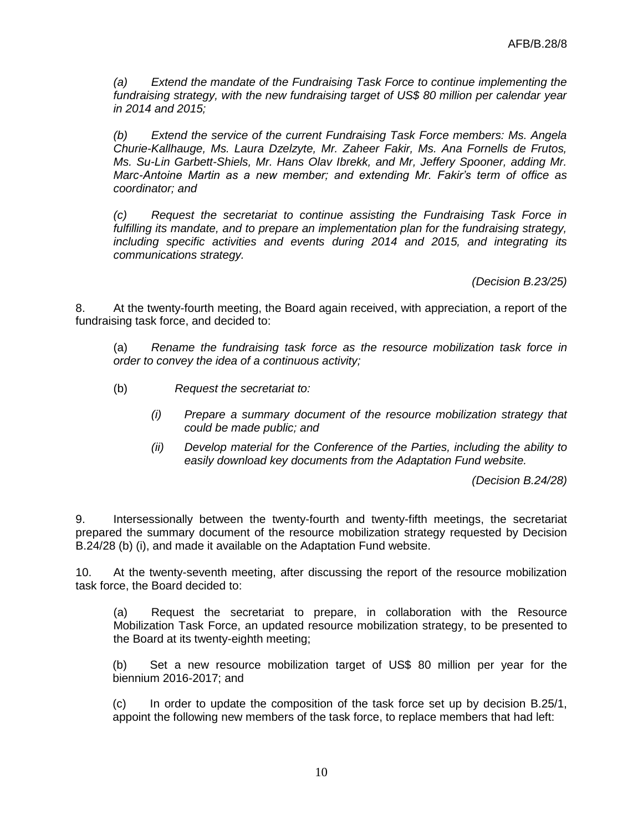*(a) Extend the mandate of the Fundraising Task Force to continue implementing the fundraising strategy, with the new fundraising target of US\$ 80 million per calendar year in 2014 and 2015;*

*(b) Extend the service of the current Fundraising Task Force members: Ms. Angela Churie-Kallhauge, Ms. Laura Dzelzyte, Mr. Zaheer Fakir, Ms. Ana Fornells de Frutos, Ms. Su-Lin Garbett-Shiels, Mr. Hans Olav Ibrekk, and Mr, Jeffery Spooner, adding Mr. Marc-Antoine Martin as a new member; and extending Mr. Fakir's term of office as coordinator; and*

*(c) Request the secretariat to continue assisting the Fundraising Task Force in fulfilling its mandate, and to prepare an implementation plan for the fundraising strategy, including specific activities and events during 2014 and 2015, and integrating its communications strategy.*

*(Decision B.23/25)*

8. At the twenty-fourth meeting, the Board again received, with appreciation, a report of the fundraising task force, and decided to:

(a) *Rename the fundraising task force as the resource mobilization task force in order to convey the idea of a continuous activity;*

- (b) *Request the secretariat to:*
	- *(i) Prepare a summary document of the resource mobilization strategy that could be made public; and*
	- *(ii) Develop material for the Conference of the Parties, including the ability to easily download key documents from the Adaptation Fund website.*

*(Decision B.24/28)*

9. Intersessionally between the twenty-fourth and twenty-fifth meetings, the secretariat prepared the summary document of the resource mobilization strategy requested by Decision B.24/28 (b) (i), and made it available on the Adaptation Fund website.

10. At the twenty-seventh meeting, after discussing the report of the resource mobilization task force, the Board decided to:

(a) Request the secretariat to prepare, in collaboration with the Resource Mobilization Task Force, an updated resource mobilization strategy, to be presented to the Board at its twenty-eighth meeting;

(b) Set a new resource mobilization target of US\$ 80 million per year for the biennium 2016-2017; and

(c) In order to update the composition of the task force set up by decision B.25/1, appoint the following new members of the task force, to replace members that had left: